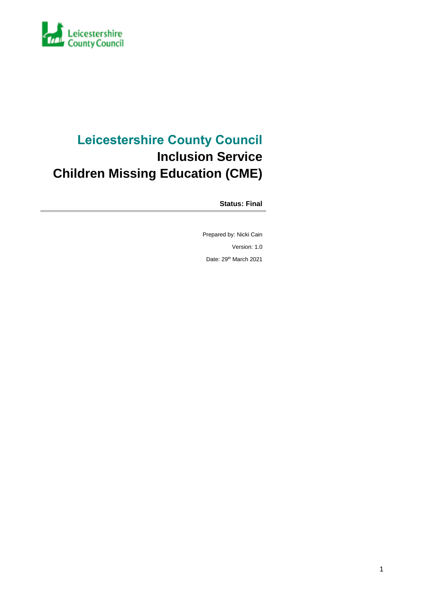

### **Leicestershire County Council Inclusion Service Children Missing Education (CME)**

**Status: Final**

Prepared by: Nicki Cain Version: 1.0 Date: 29<sup>th</sup> March 2021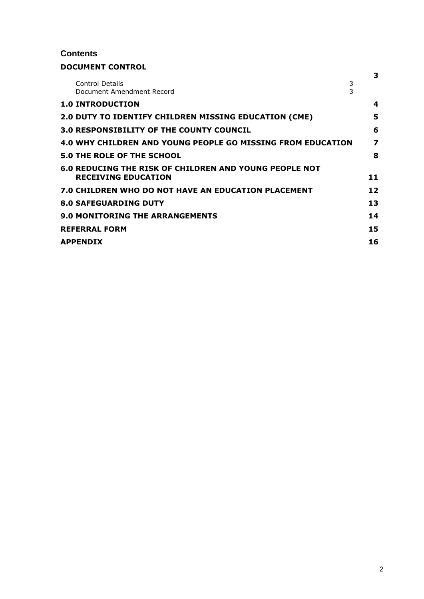#### **Contents**

#### **DOCUMENT CONTROL**

|                                                                                      | 3  |
|--------------------------------------------------------------------------------------|----|
| 3<br>Control Details<br>$\overline{3}$<br>Document Amendment Record                  |    |
| <b>1.0 INTRODUCTION</b>                                                              | 4  |
| <b>2.0 DUTY TO IDENTIFY CHILDREN MISSING EDUCATION (CME)</b>                         | 5  |
| <b>3.0 RESPONSIBILITY OF THE COUNTY COUNCIL</b>                                      | 6  |
| 4.0 WHY CHILDREN AND YOUNG PEOPLE GO MISSING FROM EDUCATION                          | 7  |
| <b>5.0 THE ROLE OF THE SCHOOL</b>                                                    | 8  |
| 6.0 REDUCING THE RISK OF CHILDREN AND YOUNG PEOPLE NOT<br><b>RECEIVING EDUCATION</b> | 11 |
| 7.0 CHILDREN WHO DO NOT HAVE AN EDUCATION PLACEMENT                                  | 12 |
| <b>8.0 SAFEGUARDING DUTY</b>                                                         | 13 |
| <b>9.0 MONITORING THE ARRANGEMENTS</b>                                               | 14 |
| <b>REFERRAL FORM</b>                                                                 | 15 |
| <b>APPENDIX</b>                                                                      | 16 |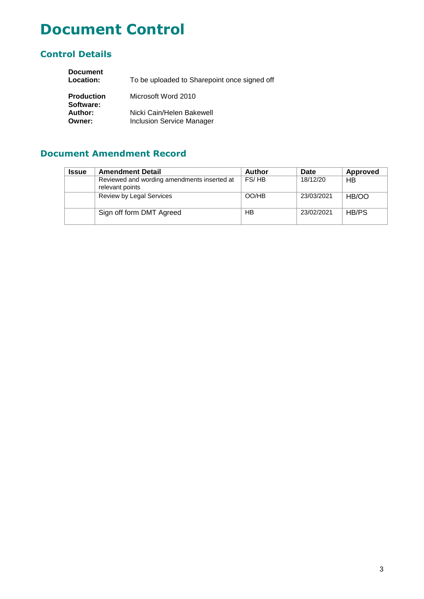### **Document Control**

### **Control Details**

| <b>Document</b><br>Location:   | To be uploaded to Sharepoint once signed off                  |
|--------------------------------|---------------------------------------------------------------|
| <b>Production</b><br>Software: | Microsoft Word 2010                                           |
| Author:<br>Owner:              | Nicki Cain/Helen Bakewell<br><b>Inclusion Service Manager</b> |

### **Document Amendment Record**

| <b>Issue</b> | <b>Amendment Detail</b>                                        | <b>Author</b> | Date       | Approved  |
|--------------|----------------------------------------------------------------|---------------|------------|-----------|
|              | Reviewed and wording amendments inserted at<br>relevant points | FS/HB         | 18/12/20   | <b>HB</b> |
|              | Review by Legal Services                                       | OO/HB         | 23/03/2021 | HB/OO     |
|              | Sign off form DMT Agreed                                       | HB            | 23/02/2021 | HB/PS     |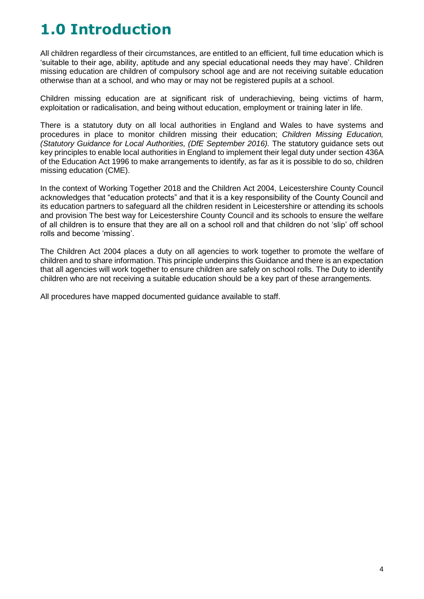## **1.0 Introduction**

All children regardless of their circumstances, are entitled to an efficient, full time education which is 'suitable to their age, ability, aptitude and any special educational needs they may have'. Children missing education are children of compulsory school age and are not receiving suitable education otherwise than at a school, and who may or may not be registered pupils at a school.

Children missing education are at significant risk of underachieving, being victims of harm, exploitation or radicalisation, and being without education, employment or training later in life.

There is a statutory duty on all local authorities in England and Wales to have systems and procedures in place to monitor children missing their education; *Children Missing Education, (Statutory Guidance for Local Authorities, (DfE September 2016).* The statutory guidance sets out key principles to enable local authorities in England to implement their legal duty under section 436A of the Education Act 1996 to make arrangements to identify, as far as it is possible to do so, children missing education (CME).

In the context of Working Together 2018 and the Children Act 2004, Leicestershire County Council acknowledges that "education protects" and that it is a key responsibility of the County Council and its education partners to safeguard all the children resident in Leicestershire or attending its schools and provision The best way for Leicestershire County Council and its schools to ensure the welfare of all children is to ensure that they are all on a school roll and that children do not 'slip' off school rolls and become 'missing'.

The Children Act 2004 places a duty on all agencies to work together to promote the welfare of children and to share information. This principle underpins this Guidance and there is an expectation that all agencies will work together to ensure children are safely on school rolls. The Duty to identify children who are not receiving a suitable education should be a key part of these arrangements.

All procedures have mapped documented guidance available to staff.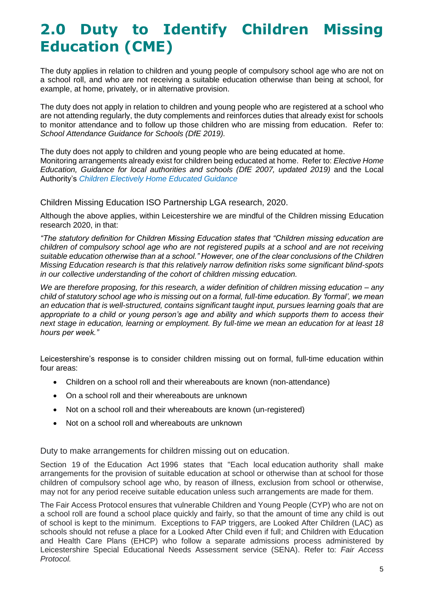### **2.0 Duty to Identify Children Missing Education (CME)**

The duty applies in relation to children and young people of compulsory school age who are not on a school roll, and who are not receiving a suitable education otherwise than being at school, for example, at home, privately, or in alternative provision.

The duty does not apply in relation to children and young people who are registered at a school who are not attending regularly, the duty complements and reinforces duties that already exist for schools to monitor attendance and to follow up those children who are missing from education. Refer to: *School Attendance Guidance for Schools (DfE 2019).*

The duty does not apply to children and young people who are being educated at home. Monitoring arrangements already exist for children being educated at home. Refer to: *Elective Home Education, Guidance for local authorities and schools (DfE 2007, updated 2019)* and the Local Authority's *Children Electively Home Educated Guidance* 

Children Missing Education ISO Partnership LGA research, 2020.

Although the above applies, within Leicestershire we are mindful of the Children missing Education research 2020, in that:

*"The statutory definition for Children Missing Education states that "Children missing education are children of compulsory school age who are not registered pupils at a school and are not receiving suitable education otherwise than at a school." However, one of the clear conclusions of the Children Missing Education research is that this relatively narrow definition risks some significant blind-spots in our collective understanding of the cohort of children missing education.* 

*We are therefore proposing, for this research, a wider definition of children missing education – any child of statutory school age who is missing out on a formal, full-time education. By 'formal', we mean an education that is well-structured, contains significant taught input, pursues learning goals that are appropriate to a child or young person's age and ability and which supports them to access their next stage in education, learning or employment. By full-time we mean an education for at least 18 hours per week."*

Leicestershire's response is to consider children missing out on formal, full-time education within four areas:

- Children on a school roll and their whereabouts are known (non-attendance)
- On a school roll and their whereabouts are unknown
- Not on a school roll and their whereabouts are known (un-registered)
- Not on a school roll and whereabouts are unknown

Duty to make arrangements for children missing out on education.

Section 19 of the Education Act 1996 states that "Each local education authority shall make arrangements for the provision of suitable education at school or otherwise than at school for those children of compulsory school age who, by reason of illness, exclusion from school or otherwise, may not for any period receive suitable education unless such arrangements are made for them.

The Fair Access Protocol ensures that vulnerable Children and Young People (CYP) who are not on a school roll are found a school place quickly and fairly, so that the amount of time any child is out of school is kept to the minimum. Exceptions to FAP triggers, are Looked After Children (LAC) as schools should not refuse a place for a Looked After Child even if full; and Children with Education and Health Care Plans (EHCP) who follow a separate admissions process administered by Leicestershire Special Educational Needs Assessment service (SENA). Refer to: *Fair Access Protocol.*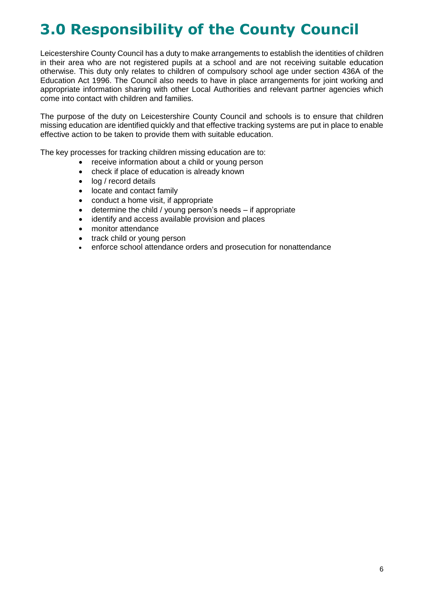# **3.0 Responsibility of the County Council**

Leicestershire County Council has a duty to make arrangements to establish the identities of children in their area who are not registered pupils at a school and are not receiving suitable education otherwise. This duty only relates to children of compulsory school age under section 436A of the Education Act 1996. The Council also needs to have in place arrangements for joint working and appropriate information sharing with other Local Authorities and relevant partner agencies which come into contact with children and families.

The purpose of the duty on Leicestershire County Council and schools is to ensure that children missing education are identified quickly and that effective tracking systems are put in place to enable effective action to be taken to provide them with suitable education.

The key processes for tracking children missing education are to:

- receive information about a child or young person
- check if place of education is already known
- log / record details
- locate and contact family
- conduct a home visit, if appropriate
- determine the child / young person's needs if appropriate
- identify and access available provision and places
- monitor attendance
- track child or young person
- enforce school attendance orders and prosecution for nonattendance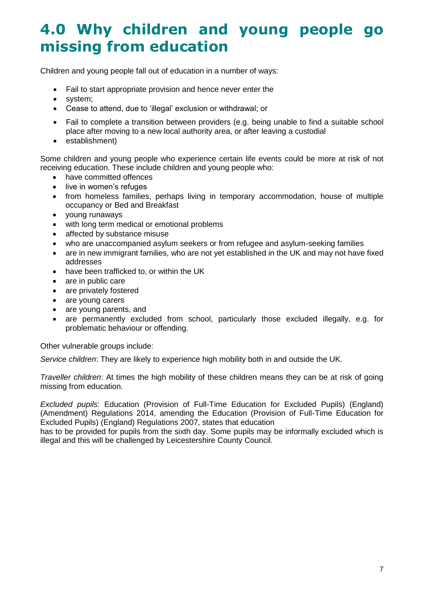### **4.0 Why children and young people go missing from education**

Children and young people fall out of education in a number of ways:

- Fail to start appropriate provision and hence never enter the
- system;
- Cease to attend, due to 'illegal' exclusion or withdrawal; or
- Fail to complete a transition between providers (e.g. being unable to find a suitable school place after moving to a new local authority area, or after leaving a custodial
- establishment)

Some children and young people who experience certain life events could be more at risk of not receiving education. These include children and young people who:

- have committed offences
- live in women's refuges
- from homeless families, perhaps living in temporary accommodation, house of multiple occupancy or Bed and Breakfast
- young runaways
- with long term medical or emotional problems
- affected by substance misuse
- who are unaccompanied asylum seekers or from refugee and asylum-seeking families
- are in new immigrant families, who are not yet established in the UK and may not have fixed addresses
- have been trafficked to, or within the UK
- are in public care
- are privately fostered
- are young carers
- are young parents, and
- are permanently excluded from school, particularly those excluded illegally, e.g. for problematic behaviour or offending.

Other vulnerable groups include:

*Service children*: They are likely to experience high mobility both in and outside the UK.

*Traveller children*: At times the high mobility of these children means they can be at risk of going missing from education.

*Excluded pupils*: Education (Provision of Full-Time Education for Excluded Pupils) (England) (Amendment) Regulations 2014, amending the Education (Provision of Full-Time Education for Excluded Pupils) (England) Regulations 2007, states that education

has to be provided for pupils from the sixth day. Some pupils may be informally excluded which is illegal and this will be challenged by Leicestershire County Council.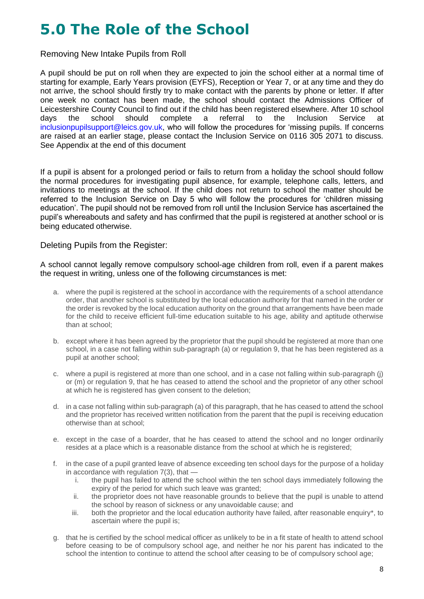## **5.0 The Role of the School**

Removing New Intake Pupils from Roll

A pupil should be put on roll when they are expected to join the school either at a normal time of starting for example, Early Years provision (EYFS), Reception or Year 7, or at any time and they do not arrive, the school should firstly try to make contact with the parents by phone or letter. If after one week no contact has been made, the school should contact the Admissions Officer of Leicestershire County Council to find out if the child has been registered elsewhere. After 10 school days the school should complete a referral to the Inclusion Service at inclusionpupilsupport@leics.gov.uk, who will follow the procedures for 'missing pupils. If concerns are raised at an earlier stage, please contact the Inclusion Service on 0116 305 2071 to discuss. See Appendix at the end of this document

If a pupil is absent for a prolonged period or fails to return from a holiday the school should follow the normal procedures for investigating pupil absence, for example, telephone calls, letters, and invitations to meetings at the school. If the child does not return to school the matter should be referred to the Inclusion Service on Day 5 who will follow the procedures for 'children missing education'. The pupil should not be removed from roll until the Inclusion Service has ascertained the pupil's whereabouts and safety and has confirmed that the pupil is registered at another school or is being educated otherwise.

#### Deleting Pupils from the Register:

A school cannot legally remove compulsory school-age children from roll, even if a parent makes the request in writing, unless one of the following circumstances is met:

- a. where the pupil is registered at the school in accordance with the requirements of a school attendance order, that another school is substituted by the local education authority for that named in the order or the order is revoked by the local education authority on the ground that arrangements have been made for the child to receive efficient full-time education suitable to his age, ability and aptitude otherwise than at school;
- b. except where it has been agreed by the proprietor that the pupil should be registered at more than one school, in a case not falling within sub-paragraph (a) or regulation 9, that he has been registered as a pupil at another school;
- c. where a pupil is registered at more than one school, and in a case not falling within sub-paragraph (j) or (m) or regulation 9, that he has ceased to attend the school and the proprietor of any other school at which he is registered has given consent to the deletion;
- d. in a case not falling within sub-paragraph (a) of this paragraph, that he has ceased to attend the school and the proprietor has received written notification from the parent that the pupil is receiving education otherwise than at school;
- e. except in the case of a boarder, that he has ceased to attend the school and no longer ordinarily resides at a place which is a reasonable distance from the school at which he is registered;
- f. in the case of a pupil granted leave of absence exceeding ten school days for the purpose of a holiday in accordance with regulation 7(3), that
	- i. the pupil has failed to attend the school within the ten school days immediately following the expiry of the period for which such leave was granted;
	- ii. the proprietor does not have reasonable grounds to believe that the pupil is unable to attend the school by reason of sickness or any unavoidable cause; and
	- iii. both the proprietor and the local education authority have failed, after reasonable enquiry\*, to ascertain where the pupil is;
- g. that he is certified by the school medical officer as unlikely to be in a fit state of health to attend school before ceasing to be of compulsory school age, and neither he nor his parent has indicated to the school the intention to continue to attend the school after ceasing to be of compulsory school age;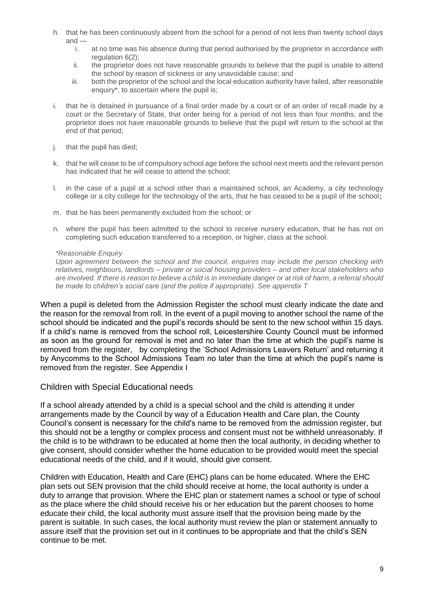- h. that he has been continuously absent from the school for a period of not less than twenty school days and
	- i. at no time was his absence during that period authorised by the proprietor in accordance with regulation 6(2);
	- ii. the proprietor does not have reasonable grounds to believe that the pupil is unable to attend the school by reason of sickness or any unavoidable cause; and
	- iii. both the proprietor of the school and the local education authority have failed, after reasonable enquiry\*, to ascertain where the pupil is;
- i. that he is detained in pursuance of a final order made by a court or of an order of recall made by a court or the Secretary of State, that order being for a period of not less than four months, and the proprietor does not have reasonable grounds to believe that the pupil will return to the school at the end of that period;
- j. that the pupil has died;
- k. that he will cease to be of compulsory school age before the school next meets and the relevant person has indicated that he will cease to attend the school;
- l. in the case of a pupil at a school other than a maintained school, an Academy, a city technology college or a city college for the technology of the arts, that he has ceased to be a pupil of the school**;**
- m. that he has been permanently excluded from the school; or
- n. where the pupil has been admitted to the school to receive nursery education, that he has not on completing such education transferred to a reception, or higher, class at the school.

#### *\*Reasonable Enquiry*

*Upon agreement between the school and the council, enquires may include the person checking with relatives, neighbours, landlords – private or social housing providers – and other local stakeholders who are involved. If there is reason to believe a child is in immediate danger or at risk of harm, a referral should be made to children's social care (and the police if appropriate). See appendix T*

When a pupil is deleted from the Admission Register the school must clearly indicate the date and the reason for the removal from roll. In the event of a pupil moving to another school the name of the school should be indicated and the pupil's records should be sent to the new school within 15 days. If a child's name is removed from the school roll, Leicestershire County Council must be informed as soon as the ground for removal is met and no later than the time at which the pupil's name is removed from the register, by completing the 'School Admissions Leavers Return' and returning it by Anycomms to the School Admissions Team no later than the time at which the pupil's name is removed from the register. See Appendix I

#### Children with Special Educational needs

If a school already attended by a child is a special school and the child is attending it under arrangements made by the Council by way of a Education Health and Care plan, the County Council's consent is necessary for the child's name to be removed from the admission register, but this should not be a lengthy or complex process and consent must not be withheld unreasonably. If the child is to be withdrawn to be educated at home then the local authority, in deciding whether to give consent, should consider whether the home education to be provided would meet the special educational needs of the child, and if it would, should give consent.

Children with Education, Health and Care (EHC) plans can be home educated. Where the EHC plan sets out SEN provision that the child should receive at home, the local authority is under a duty to arrange that provision. Where the EHC plan or statement names a school or type of school as the place where the child should receive his or her education but the parent chooses to home educate their child, the local authority must assure itself that the provision being made by the parent is suitable. In such cases, the local authority must review the plan or statement annually to assure itself that the provision set out in it continues to be appropriate and that the child's SEN continue to be met.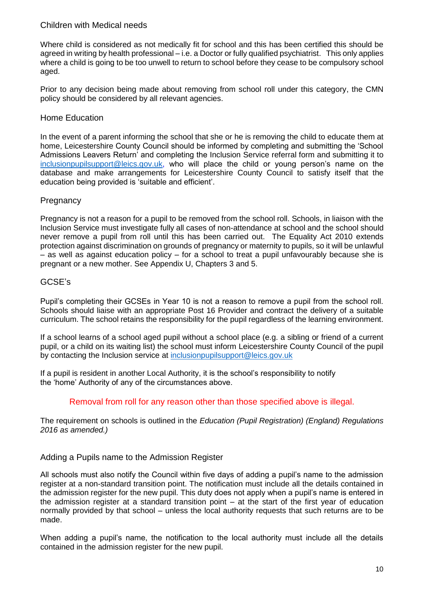#### Children with Medical needs

Where child is considered as not medically fit for school and this has been certified this should be agreed in writing by health professional – i.e. a Doctor or fully qualified psychiatrist. This only applies where a child is going to be too unwell to return to school before they cease to be compulsory school aged.

Prior to any decision being made about removing from school roll under this category, the CMN policy should be considered by all relevant agencies.

#### Home Education

In the event of a parent informing the school that she or he is removing the child to educate them at home, Leicestershire County Council should be informed by completing and submitting the 'School Admissions Leavers Return' and completing the Inclusion Service referral form and submitting it to [inclusionpupilsupport@leics.gov.uk,](mailto:inclusionpupilsupport@leics.gov.uk) who will place the child or young person's name on the database and make arrangements for Leicestershire County Council to satisfy itself that the education being provided is 'suitable and efficient'.

#### **Pregnancy**

Pregnancy is not a reason for a pupil to be removed from the school roll. Schools, in liaison with the Inclusion Service must investigate fully all cases of non-attendance at school and the school should never remove a pupil from roll until this has been carried out. The Equality Act 2010 extends protection against discrimination on grounds of pregnancy or maternity to pupils, so it will be unlawful  $-$  as well as against education policy – for a school to treat a pupil unfavourably because she is pregnant or a new mother. See Appendix U, Chapters 3 and 5.

#### GCSE's

Pupil's completing their GCSEs in Year 10 is not a reason to remove a pupil from the school roll. Schools should liaise with an appropriate Post 16 Provider and contract the delivery of a suitable curriculum. The school retains the responsibility for the pupil regardless of the learning environment.

If a school learns of a school aged pupil without a school place (e.g. a sibling or friend of a current pupil, or a child on its waiting list) the school must inform Leicestershire County Council of the pupil by contacting the Inclusion service at [inclusionpupilsupport@leics.gov.uk](mailto:inclusionpupilsupport@leics.gov.uk)

If a pupil is resident in another Local Authority, it is the school's responsibility to notify the 'home' Authority of any of the circumstances above.

#### Removal from roll for any reason other than those specified above is illegal.

The requirement on schools is outlined in the *Education (Pupil Registration) (England) Regulations 2016 as amended.)* 

#### Adding a Pupils name to the Admission Register

All schools must also notify the Council within five days of adding a pupil's name to the admission register at a non-standard transition point. The notification must include all the details contained in the admission register for the new pupil. This duty does not apply when a pupil's name is entered in the admission register at a standard transition point – at the start of the first year of education normally provided by that school – unless the local authority requests that such returns are to be made.

When adding a pupil's name, the notification to the local authority must include all the details contained in the admission register for the new pupil.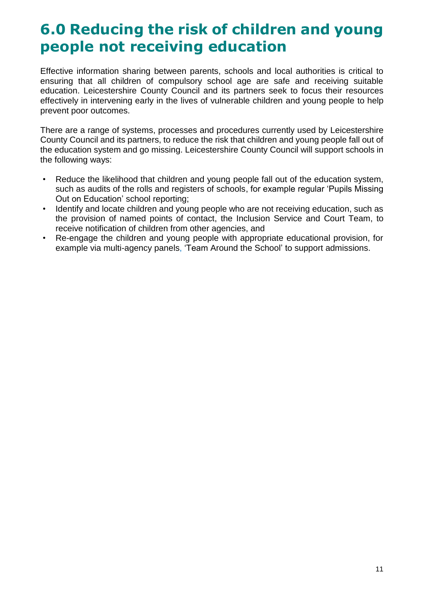### **6.0 Reducing the risk of children and young people not receiving education**

Effective information sharing between parents, schools and local authorities is critical to ensuring that all children of compulsory school age are safe and receiving suitable education. Leicestershire County Council and its partners seek to focus their resources effectively in intervening early in the lives of vulnerable children and young people to help prevent poor outcomes.

There are a range of systems, processes and procedures currently used by Leicestershire County Council and its partners, to reduce the risk that children and young people fall out of the education system and go missing. Leicestershire County Council will support schools in the following ways:

- Reduce the likelihood that children and young people fall out of the education system, such as audits of the rolls and registers of schools, for example regular 'Pupils Missing Out on Education' school reporting;
- Identify and locate children and young people who are not receiving education, such as the provision of named points of contact, the Inclusion Service and Court Team, to receive notification of children from other agencies, and
- Re-engage the children and young people with appropriate educational provision, for example via multi-agency panels, 'Team Around the School' to support admissions.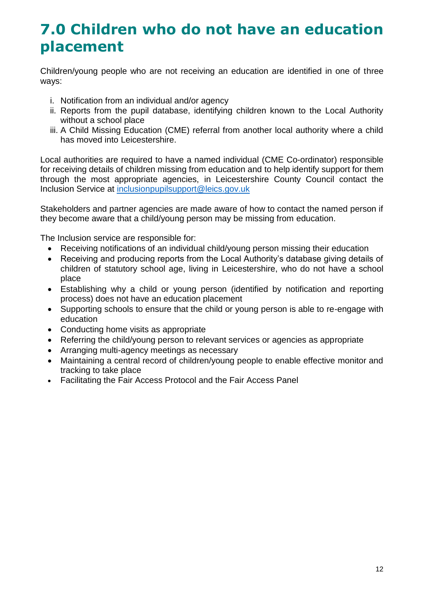### **7.0 Children who do not have an education placement**

Children/young people who are not receiving an education are identified in one of three ways:

- i. Notification from an individual and/or agency
- ii. Reports from the pupil database, identifying children known to the Local Authority without a school place
- iii. A Child Missing Education (CME) referral from another local authority where a child has moved into Leicestershire.

Local authorities are required to have a named individual (CME Co-ordinator) responsible for receiving details of children missing from education and to help identify support for them through the most appropriate agencies, in Leicestershire County Council contact the Inclusion Service at [inclusionpupilsupport@leics.gov.uk](mailto:inclusionpupilsupport@leics.gov.uk)

Stakeholders and partner agencies are made aware of how to contact the named person if they become aware that a child/young person may be missing from education.

The Inclusion service are responsible for:

- Receiving notifications of an individual child/young person missing their education
- Receiving and producing reports from the Local Authority's database giving details of children of statutory school age, living in Leicestershire, who do not have a school place
- Establishing why a child or young person (identified by notification and reporting process) does not have an education placement
- Supporting schools to ensure that the child or young person is able to re-engage with education
- Conducting home visits as appropriate
- Referring the child/young person to relevant services or agencies as appropriate
- Arranging multi-agency meetings as necessary
- Maintaining a central record of children/young people to enable effective monitor and tracking to take place
- Facilitating the Fair Access Protocol and the Fair Access Panel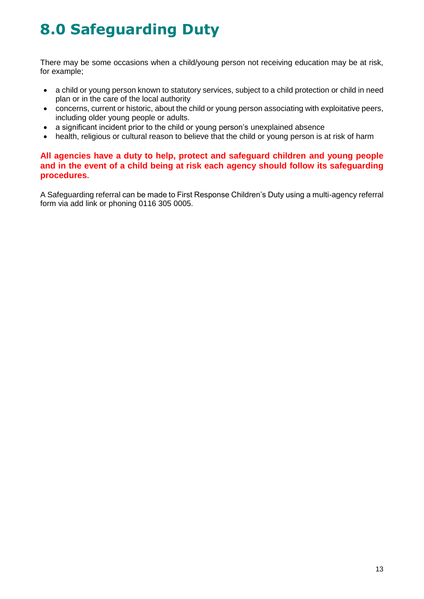# **8.0 Safeguarding Duty**

There may be some occasions when a child/young person not receiving education may be at risk, for example;

- a child or young person known to statutory services, subject to a child protection or child in need plan or in the care of the local authority
- concerns, current or historic, about the child or young person associating with exploitative peers, including older young people or adults.
- a significant incident prior to the child or young person's unexplained absence
- health, religious or cultural reason to believe that the child or young person is at risk of harm

#### **All agencies have a duty to help, protect and safeguard children and young people and in the event of a child being at risk each agency should follow its safeguarding procedures**.

A Safeguarding referral can be made to First Response Children's Duty using a multi-agency referral form via add link or phoning 0116 305 0005.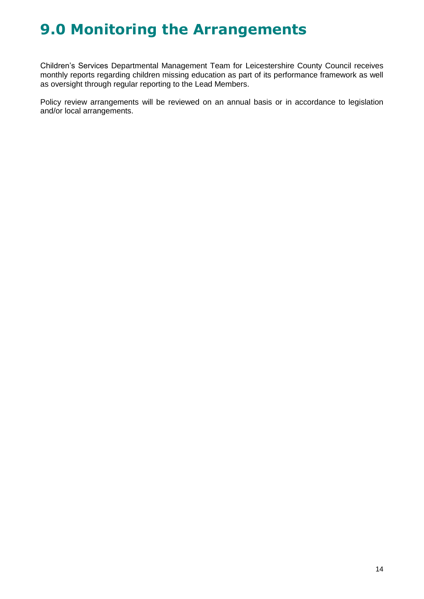### **9.0 Monitoring the Arrangements**

Children's Services Departmental Management Team for Leicestershire County Council receives monthly reports regarding children missing education as part of its performance framework as well as oversight through regular reporting to the Lead Members.

Policy review arrangements will be reviewed on an annual basis or in accordance to legislation and/or local arrangements.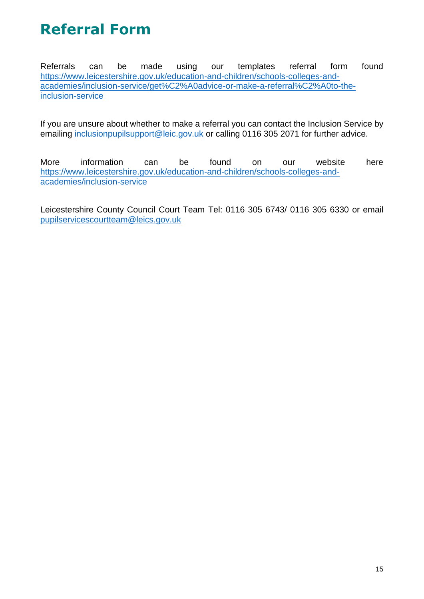## **Referral Form**

Referrals can be made using our templates referral form found [https://www.leicestershire.gov.uk/education-and-children/schools-colleges-and](https://www.leicestershire.gov.uk/education-and-children/schools-colleges-and-academies/inclusion-service/get%C2%A0advice-or-make-a-referral%C2%A0to-the-inclusion-service)[academies/inclusion-service/get%C2%A0advice-or-make-a-referral%C2%A0to-the](https://www.leicestershire.gov.uk/education-and-children/schools-colleges-and-academies/inclusion-service/get%C2%A0advice-or-make-a-referral%C2%A0to-the-inclusion-service)[inclusion-service](https://www.leicestershire.gov.uk/education-and-children/schools-colleges-and-academies/inclusion-service/get%C2%A0advice-or-make-a-referral%C2%A0to-the-inclusion-service)

If you are unsure about whether to make a referral you can contact the Inclusion Service by emailing [inclusionpupilsupport@leic.gov.uk](mailto:inclusionpupilsupport@leic.gov.uk) or calling 0116 305 2071 for further advice.

More information can be found on our website here [https://www.leicestershire.gov.uk/education-and-children/schools-colleges-and](https://www.leicestershire.gov.uk/education-and-children/schools-colleges-and-academies/inclusion-service)[academies/inclusion-service](https://www.leicestershire.gov.uk/education-and-children/schools-colleges-and-academies/inclusion-service) 

Leicestershire County Council Court Team Tel: 0116 305 6743/ 0116 305 6330 or email [pupilservicescourtteam@leics.gov.uk](mailto:pupilservicescourtteam@leics.gov.uk)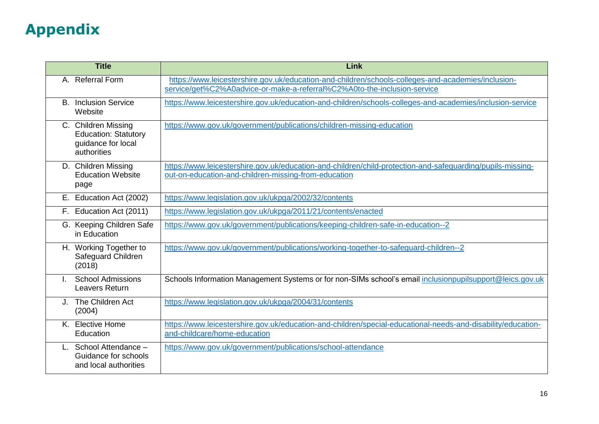# **Appendix**

| <b>Title</b>                                                                            | Link                                                                                                                                                                           |
|-----------------------------------------------------------------------------------------|--------------------------------------------------------------------------------------------------------------------------------------------------------------------------------|
| A. Referral Form                                                                        | https://www.leicestershire.gov.uk/education-and-children/schools-colleges-and-academies/inclusion-<br>service/get%C2%A0advice-or-make-a-referral%C2%A0to-the-inclusion-service |
| <b>Inclusion Service</b><br>В.<br>Website                                               | https://www.leicestershire.gov.uk/education-and-children/schools-colleges-and-academies/inclusion-service                                                                      |
| C. Children Missing<br><b>Education: Statutory</b><br>guidance for local<br>authorities | https://www.gov.uk/government/publications/children-missing-education                                                                                                          |
| D. Children Missing<br><b>Education Website</b><br>page                                 | https://www.leicestershire.gov.uk/education-and-children/child-protection-and-safeguarding/pupils-missing-<br>out-on-education-and-children-missing-from-education             |
| E. Education Act (2002)                                                                 | https://www.legislation.gov.uk/ukpga/2002/32/contents                                                                                                                          |
| F. Education Act (2011)                                                                 | https://www.legislation.gov.uk/ukpga/2011/21/contents/enacted                                                                                                                  |
| G. Keeping Children Safe<br>in Education                                                | https://www.gov.uk/government/publications/keeping-children-safe-in-education--2                                                                                               |
| H. Working Together to<br>Safeguard Children<br>(2018)                                  | https://www.gov.uk/government/publications/working-together-to-safeguard-children--2                                                                                           |
| <b>School Admissions</b><br>$\mathbf{L}$<br>Leavers Return                              | Schools Information Management Systems or for non-SIMs school's email inclusionpupilsupport@leics.gov.uk                                                                       |
| J. The Children Act<br>(2004)                                                           | https://www.legislation.gov.uk/ukpga/2004/31/contents                                                                                                                          |
| K. Elective Home<br>Education                                                           | https://www.leicestershire.gov.uk/education-and-children/special-educational-needs-and-disability/education-<br>and-childcare/home-education                                   |
| School Attendance -<br>Guidance for schools<br>and local authorities                    | https://www.gov.uk/government/publications/school-attendance                                                                                                                   |